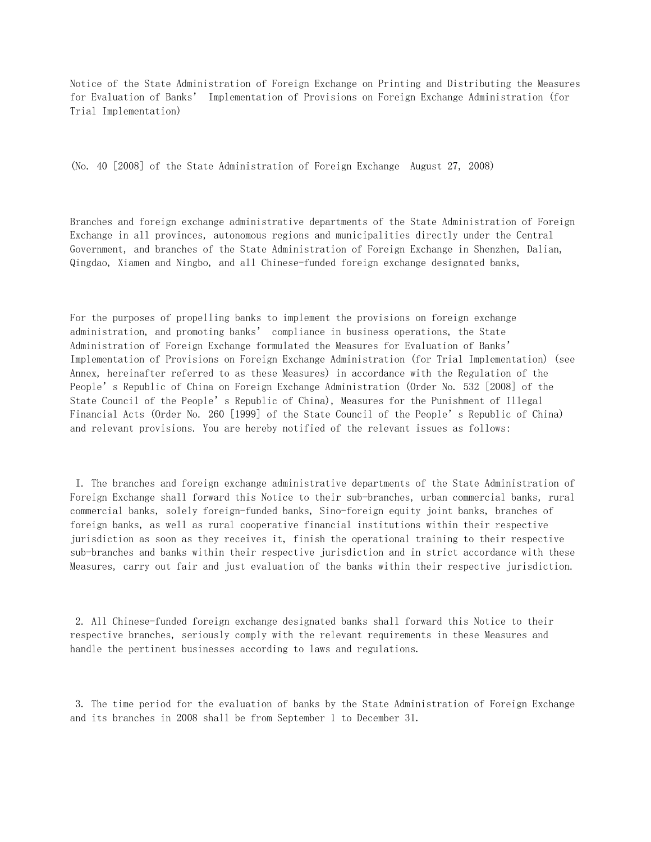Notice of the State Administration of Foreign Exchange on Printing and Distributing the Measures for Evaluation of Banks' Implementation of Provisions on Foreign Exchange Administration (for Trial Implementation)

(No. 40 [2008] of the State Administration of Foreign Exchange August 27, 2008)

Branches and foreign exchange administrative departments of the State Administration of Foreign Exchange in all provinces, autonomous regions and municipalities directly under the Central Government, and branches of the State Administration of Foreign Exchange in Shenzhen, Dalian, Qingdao, Xiamen and Ningbo, and all Chinese-funded foreign exchange designated banks,

For the purposes of propelling banks to implement the provisions on foreign exchange administration, and promoting banks' compliance in business operations, the State Administration of Foreign Exchange formulated the Measures for Evaluation of Banks' Implementation of Provisions on Foreign Exchange Administration (for Trial Implementation) (see Annex, hereinafter referred to as these Measures) in accordance with the Regulation of the People's Republic of China on Foreign Exchange Administration (Order No. 532 [2008] of the State Council of the People's Republic of China), Measures for the Punishment of Illegal Financial Acts (Order No. 260 [1999] of the State Council of the People's Republic of China) and relevant provisions. You are hereby notified of the relevant issues as follows:

 I. The branches and foreign exchange administrative departments of the State Administration of Foreign Exchange shall forward this Notice to their sub-branches, urban commercial banks, rural commercial banks, solely foreign-funded banks, Sino-foreign equity joint banks, branches of foreign banks, as well as rural cooperative financial institutions within their respective jurisdiction as soon as they receives it, finish the operational training to their respective sub-branches and banks within their respective jurisdiction and in strict accordance with these Measures, carry out fair and just evaluation of the banks within their respective jurisdiction.

 2. All Chinese-funded foreign exchange designated banks shall forward this Notice to their respective branches, seriously comply with the relevant requirements in these Measures and handle the pertinent businesses according to laws and regulations.

 3. The time period for the evaluation of banks by the State Administration of Foreign Exchange and its branches in 2008 shall be from September 1 to December 31.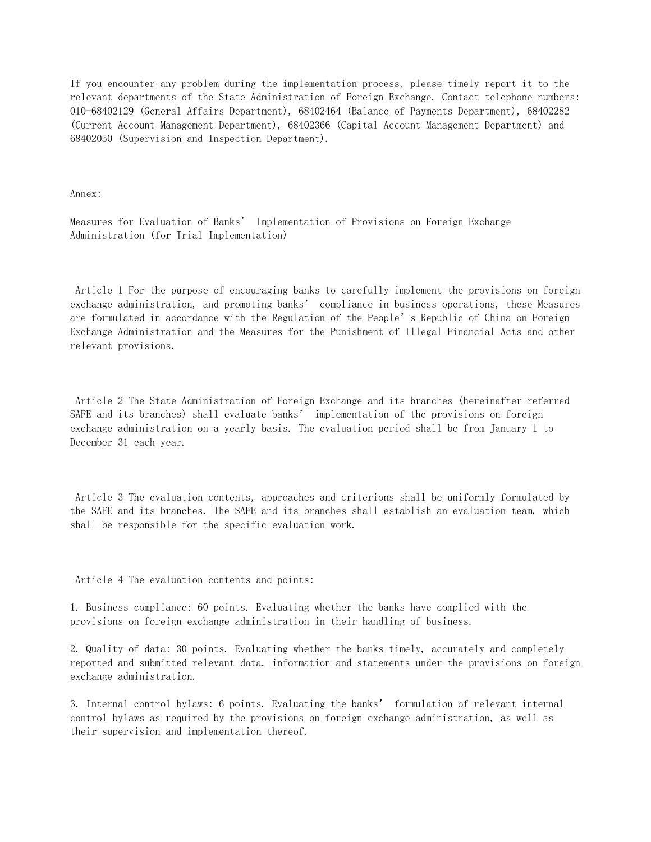If you encounter any problem during the implementation process, please timely report it to the relevant departments of the State Administration of Foreign Exchange. Contact telephone numbers: 010-68402129 (General Affairs Department), 68402464 (Balance of Payments Department), 68402282 (Current Account Management Department), 68402366 (Capital Account Management Department) and 68402050 (Supervision and Inspection Department).

Annex:

Measures for Evaluation of Banks' Implementation of Provisions on Foreign Exchange Administration (for Trial Implementation)

 Article 1 For the purpose of encouraging banks to carefully implement the provisions on foreign exchange administration, and promoting banks' compliance in business operations, these Measures are formulated in accordance with the Regulation of the People's Republic of China on Foreign Exchange Administration and the Measures for the Punishment of Illegal Financial Acts and other relevant provisions.

 Article 2 The State Administration of Foreign Exchange and its branches (hereinafter referred SAFE and its branches) shall evaluate banks' implementation of the provisions on foreign exchange administration on a yearly basis. The evaluation period shall be from January 1 to December 31 each year.

 Article 3 The evaluation contents, approaches and criterions shall be uniformly formulated by the SAFE and its branches. The SAFE and its branches shall establish an evaluation team, which shall be responsible for the specific evaluation work.

Article 4 The evaluation contents and points:

1. Business compliance: 60 points. Evaluating whether the banks have complied with the provisions on foreign exchange administration in their handling of business.

2. Quality of data: 30 points. Evaluating whether the banks timely, accurately and completely reported and submitted relevant data, information and statements under the provisions on foreign exchange administration.

3. Internal control bylaws: 6 points. Evaluating the banks' formulation of relevant internal control bylaws as required by the provisions on foreign exchange administration, as well as their supervision and implementation thereof.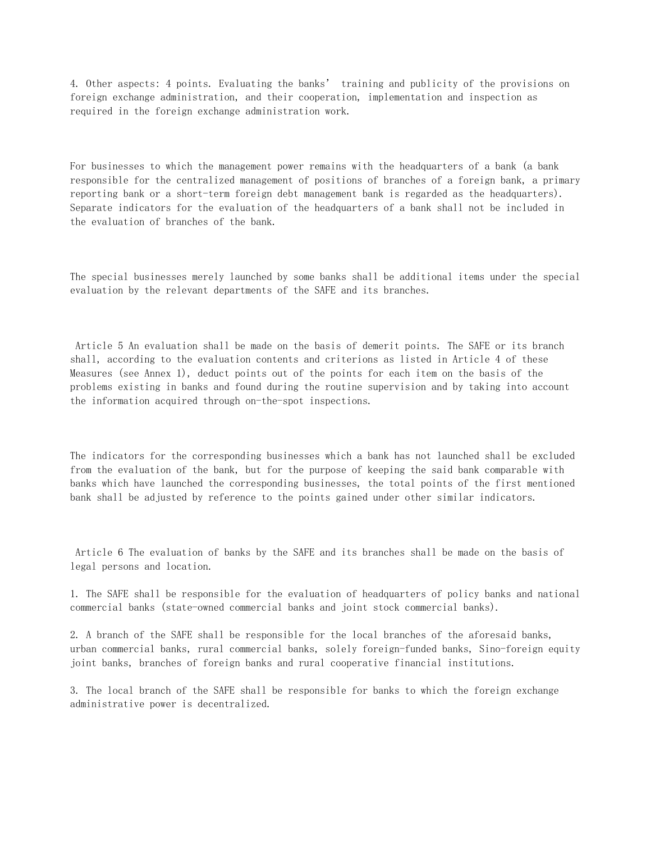4. Other aspects: 4 points. Evaluating the banks' training and publicity of the provisions on foreign exchange administration, and their cooperation, implementation and inspection as required in the foreign exchange administration work.

For businesses to which the management power remains with the headquarters of a bank (a bank responsible for the centralized management of positions of branches of a foreign bank, a primary reporting bank or a short-term foreign debt management bank is regarded as the headquarters). Separate indicators for the evaluation of the headquarters of a bank shall not be included in the evaluation of branches of the bank.

The special businesses merely launched by some banks shall be additional items under the special evaluation by the relevant departments of the SAFE and its branches.

 Article 5 An evaluation shall be made on the basis of demerit points. The SAFE or its branch shall, according to the evaluation contents and criterions as listed in Article 4 of these Measures (see Annex 1), deduct points out of the points for each item on the basis of the problems existing in banks and found during the routine supervision and by taking into account the information acquired through on-the-spot inspections.

The indicators for the corresponding businesses which a bank has not launched shall be excluded from the evaluation of the bank, but for the purpose of keeping the said bank comparable with banks which have launched the corresponding businesses, the total points of the first mentioned bank shall be adjusted by reference to the points gained under other similar indicators.

 Article 6 The evaluation of banks by the SAFE and its branches shall be made on the basis of legal persons and location.

1. The SAFE shall be responsible for the evaluation of headquarters of policy banks and national commercial banks (state-owned commercial banks and joint stock commercial banks).

2. A branch of the SAFE shall be responsible for the local branches of the aforesaid banks, urban commercial banks, rural commercial banks, solely foreign-funded banks, Sino-foreign equity joint banks, branches of foreign banks and rural cooperative financial institutions.

3. The local branch of the SAFE shall be responsible for banks to which the foreign exchange administrative power is decentralized.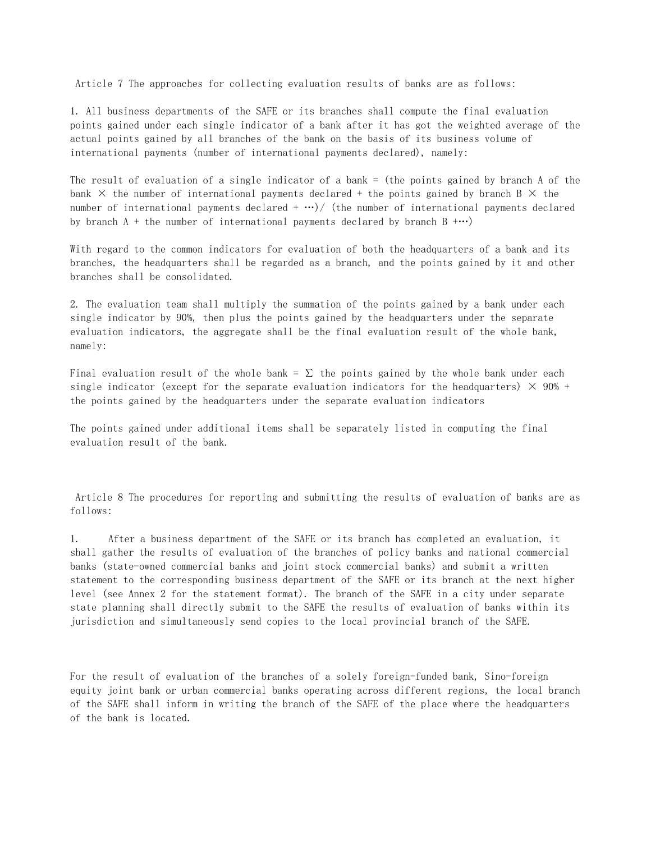Article 7 The approaches for collecting evaluation results of banks are as follows:

1. All business departments of the SAFE or its branches shall compute the final evaluation points gained under each single indicator of a bank after it has got the weighted average of the actual points gained by all branches of the bank on the basis of its business volume of international payments (number of international payments declared), namely:

The result of evaluation of a single indicator of a bank = (the points gained by branch A of the bank  $\times$  the number of international payments declared + the points gained by branch B  $\times$  the number of international payments declared  $+ \cdots$ ) (the number of international payments declared by branch  $A +$  the number of international payments declared by branch  $B + \cdots$ )

With regard to the common indicators for evaluation of both the headquarters of a bank and its branches, the headquarters shall be regarded as a branch, and the points gained by it and other branches shall be consolidated.

2. The evaluation team shall multiply the summation of the points gained by a bank under each single indicator by 90%, then plus the points gained by the headquarters under the separate evaluation indicators, the aggregate shall be the final evaluation result of the whole bank, namely:

Final evaluation result of the whole bank =  $\Sigma$  the points gained by the whole bank under each single indicator (except for the separate evaluation indicators for the headquarters)  $\times$  90% + the points gained by the headquarters under the separate evaluation indicators

The points gained under additional items shall be separately listed in computing the final evaluation result of the bank.

 Article 8 The procedures for reporting and submitting the results of evaluation of banks are as follows:

1. After a business department of the SAFE or its branch has completed an evaluation, it shall gather the results of evaluation of the branches of policy banks and national commercial banks (state-owned commercial banks and joint stock commercial banks) and submit a written statement to the corresponding business department of the SAFE or its branch at the next higher level (see Annex 2 for the statement format). The branch of the SAFE in a city under separate state planning shall directly submit to the SAFE the results of evaluation of banks within its jurisdiction and simultaneously send copies to the local provincial branch of the SAFE.

For the result of evaluation of the branches of a solely foreign-funded bank, Sino-foreign equity joint bank or urban commercial banks operating across different regions, the local branch of the SAFE shall inform in writing the branch of the SAFE of the place where the headquarters of the bank is located.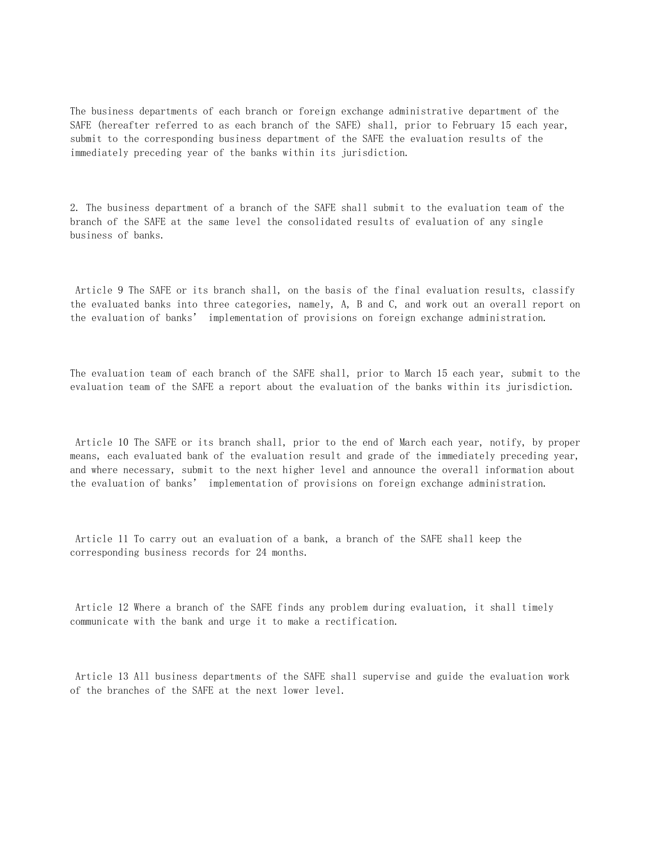The business departments of each branch or foreign exchange administrative department of the SAFE (hereafter referred to as each branch of the SAFE) shall, prior to February 15 each year, submit to the corresponding business department of the SAFE the evaluation results of the immediately preceding year of the banks within its jurisdiction.

2. The business department of a branch of the SAFE shall submit to the evaluation team of the branch of the SAFE at the same level the consolidated results of evaluation of any single business of banks.

 Article 9 The SAFE or its branch shall, on the basis of the final evaluation results, classify the evaluated banks into three categories, namely, A, B and C, and work out an overall report on the evaluation of banks' implementation of provisions on foreign exchange administration.

The evaluation team of each branch of the SAFE shall, prior to March 15 each year, submit to the evaluation team of the SAFE a report about the evaluation of the banks within its jurisdiction.

 Article 10 The SAFE or its branch shall, prior to the end of March each year, notify, by proper means, each evaluated bank of the evaluation result and grade of the immediately preceding year, and where necessary, submit to the next higher level and announce the overall information about the evaluation of banks' implementation of provisions on foreign exchange administration.

 Article 11 To carry out an evaluation of a bank, a branch of the SAFE shall keep the corresponding business records for 24 months.

 Article 12 Where a branch of the SAFE finds any problem during evaluation, it shall timely communicate with the bank and urge it to make a rectification.

 Article 13 All business departments of the SAFE shall supervise and guide the evaluation work of the branches of the SAFE at the next lower level.